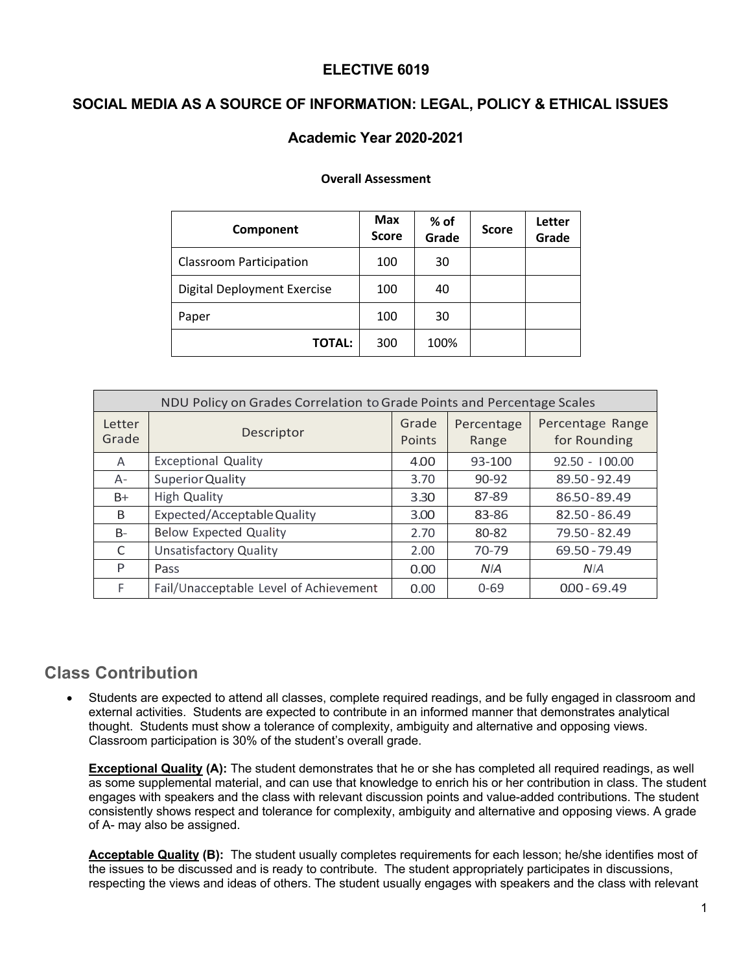## **ELECTIVE 6019**

## **SOCIAL MEDIA AS A SOURCE OF INFORMATION: LEGAL, POLICY & ETHICAL ISSUES**

## **Academic Year 2020-2021**

#### **Overall Assessment**

| Component                      | <b>Max</b><br><b>Score</b> | % of<br>Grade | <b>Score</b> | <b>Letter</b><br>Grade |
|--------------------------------|----------------------------|---------------|--------------|------------------------|
| <b>Classroom Participation</b> | 100                        | 30            |              |                        |
| Digital Deployment Exercise    | 100                        | 40            |              |                        |
| Paper                          | 100                        | 30            |              |                        |
| <b>TOTAL:</b>                  | 300                        | 100%          |              |                        |

| NDU Policy on Grades Correlation to Grade Points and Percentage Scales |                                        |                 |                     |                                  |  |  |
|------------------------------------------------------------------------|----------------------------------------|-----------------|---------------------|----------------------------------|--|--|
| Letter<br>Grade                                                        | Descriptor                             | Grade<br>Points | Percentage<br>Range | Percentage Range<br>for Rounding |  |  |
| A                                                                      | <b>Exceptional Quality</b>             | 4.00            | 93-100              | $92.50 - 100.00$                 |  |  |
| $A -$                                                                  | <b>Superior Quality</b>                | 3.70            | $90 - 92$           | 89.50 - 92.49                    |  |  |
| $B+$                                                                   | <b>High Quality</b>                    | 3.30            | 87-89               | 8650-89.49                       |  |  |
| B                                                                      | Expected/Acceptable Quality            | 3.00            | 83-86               | 82.50 - 86.49                    |  |  |
| $B-$                                                                   | <b>Below Expected Quality</b>          | 2.70            | 80-82               | 79.50 - 82.49                    |  |  |
| C                                                                      | <b>Unsatisfactory Quality</b>          | 2.00            | 70-79               | 69.50 - 79.49                    |  |  |
| P                                                                      | Pass                                   | 0.00            | <b>NIA</b>          | <b>NIA</b>                       |  |  |
| F.                                                                     | Fail/Unacceptable Level of Achievement | 0.00            | $0 - 69$            | $000 - 69.49$                    |  |  |

## **Class Contribution**

• Students are expected to attend all classes, complete required readings, and be fully engaged in classroom and external activities. Students are expected to contribute in an informed manner that demonstrates analytical thought. Students must show a tolerance of complexity, ambiguity and alternative and opposing views. Classroom participation is 30% of the student's overall grade.

**Exceptional Quality (A):** The student demonstrates that he or she has completed all required readings, as well as some supplemental material, and can use that knowledge to enrich his or her contribution in class. The student engages with speakers and the class with relevant discussion points and value-added contributions. The student consistently shows respect and tolerance for complexity, ambiguity and alternative and opposing views. A grade of A- may also be assigned.

**Acceptable Quality (B):** The student usually completes requirements for each lesson; he/she identifies most of the issues to be discussed and is ready to contribute. The student appropriately participates in discussions, respecting the views and ideas of others. The student usually engages with speakers and the class with relevant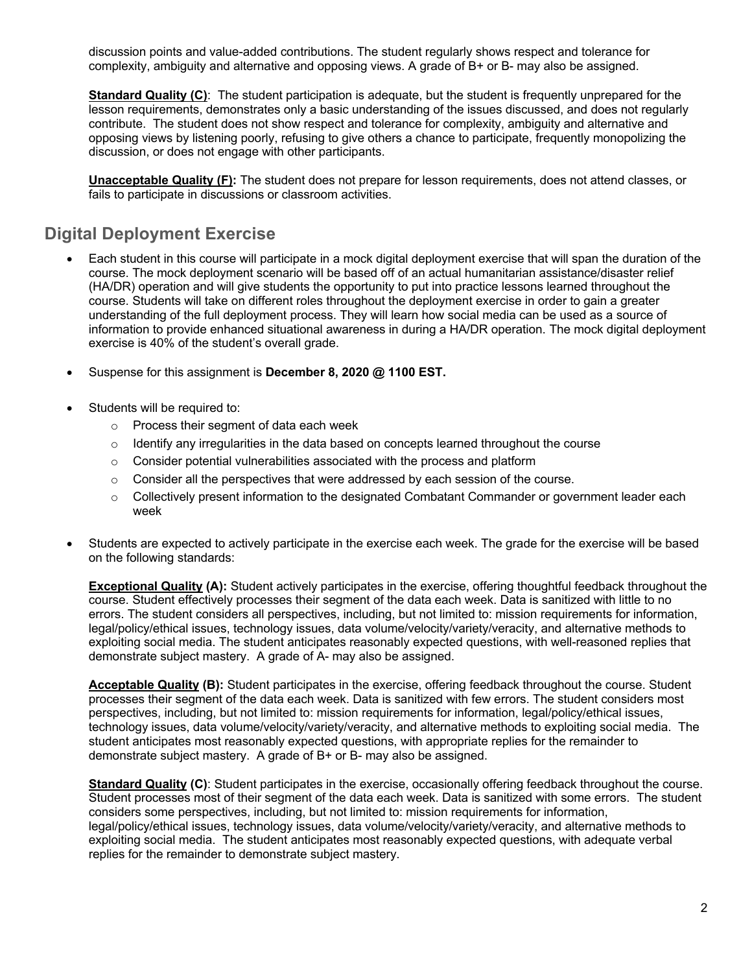discussion points and value-added contributions. The student regularly shows respect and tolerance for complexity, ambiguity and alternative and opposing views. A grade of B+ or B- may also be assigned.

**Standard Quality (C)**: The student participation is adequate, but the student is frequently unprepared for the lesson requirements, demonstrates only a basic understanding of the issues discussed, and does not regularly contribute. The student does not show respect and tolerance for complexity, ambiguity and alternative and opposing views by listening poorly, refusing to give others a chance to participate, frequently monopolizing the discussion, or does not engage with other participants.

**Unacceptable Quality (F):** The student does not prepare for lesson requirements, does not attend classes, or fails to participate in discussions or classroom activities.

# **Digital Deployment Exercise**

- Each student in this course will participate in a mock digital deployment exercise that will span the duration of the course. The mock deployment scenario will be based off of an actual humanitarian assistance/disaster relief (HA/DR) operation and will give students the opportunity to put into practice lessons learned throughout the course. Students will take on different roles throughout the deployment exercise in order to gain a greater understanding of the full deployment process. They will learn how social media can be used as a source of information to provide enhanced situational awareness in during a HA/DR operation. The mock digital deployment exercise is 40% of the student's overall grade.
- Suspense for this assignment is **December 8, 2020 @ 1100 EST.**
- Students will be required to:
	- o Process their segment of data each week
	- $\circ$  Identify any irregularities in the data based on concepts learned throughout the course
	- o Consider potential vulnerabilities associated with the process and platform
	- $\circ$  Consider all the perspectives that were addressed by each session of the course.
	- $\circ$  Collectively present information to the designated Combatant Commander or government leader each week
- Students are expected to actively participate in the exercise each week. The grade for the exercise will be based on the following standards:

**Exceptional Quality (A):** Student actively participates in the exercise, offering thoughtful feedback throughout the course. Student effectively processes their segment of the data each week. Data is sanitized with little to no errors. The student considers all perspectives, including, but not limited to: mission requirements for information, legal/policy/ethical issues, technology issues, data volume/velocity/variety/veracity, and alternative methods to exploiting social media. The student anticipates reasonably expected questions, with well-reasoned replies that demonstrate subject mastery. A grade of A- may also be assigned.

**Acceptable Quality (B):** Student participates in the exercise, offering feedback throughout the course. Student processes their segment of the data each week. Data is sanitized with few errors. The student considers most perspectives, including, but not limited to: mission requirements for information, legal/policy/ethical issues, technology issues, data volume/velocity/variety/veracity, and alternative methods to exploiting social media. The student anticipates most reasonably expected questions, with appropriate replies for the remainder to demonstrate subject mastery. A grade of B+ or B- may also be assigned.

**Standard Quality (C)**: Student participates in the exercise, occasionally offering feedback throughout the course. Student processes most of their segment of the data each week. Data is sanitized with some errors. The student considers some perspectives, including, but not limited to: mission requirements for information, legal/policy/ethical issues, technology issues, data volume/velocity/variety/veracity, and alternative methods to exploiting social media. The student anticipates most reasonably expected questions, with adequate verbal replies for the remainder to demonstrate subject mastery.